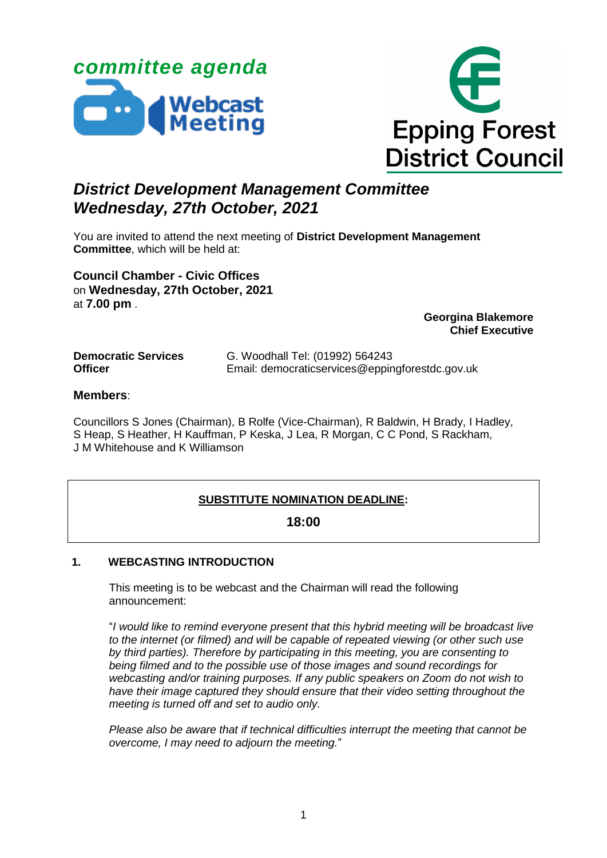



# *District Development Management Committee Wednesday, 27th October, 2021*

You are invited to attend the next meeting of **District Development Management Committee**, which will be held at:

**Council Chamber - Civic Offices** on **Wednesday, 27th October, 2021** at **7.00 pm** .

**Georgina Blakemore Chief Executive**

| <b>Democratic Services</b> | G. Woodhall Tel: (01992) 564243                 |
|----------------------------|-------------------------------------------------|
| <b>Officer</b>             | Email: democraticservices@eppingforestdc.gov.uk |

# **Members**:

Councillors S Jones (Chairman), B Rolfe (Vice-Chairman), R Baldwin, H Brady, I Hadley, S Heap, S Heather, H Kauffman, P Keska, J Lea, R Morgan, C C Pond, S Rackham, J M Whitehouse and K Williamson

# **SUBSTITUTE NOMINATION DEADLINE:**

# **18:00**

# **1. WEBCASTING INTRODUCTION**

This meeting is to be webcast and the Chairman will read the following announcement:

"*I would like to remind everyone present that this hybrid meeting will be broadcast live to the internet (or filmed) and will be capable of repeated viewing (or other such use by third parties). Therefore by participating in this meeting, you are consenting to being filmed and to the possible use of those images and sound recordings for webcasting and/or training purposes. If any public speakers on Zoom do not wish to have their image captured they should ensure that their video setting throughout the meeting is turned off and set to audio only.* 

*Please also be aware that if technical difficulties interrupt the meeting that cannot be overcome, I may need to adjourn the meeting.*"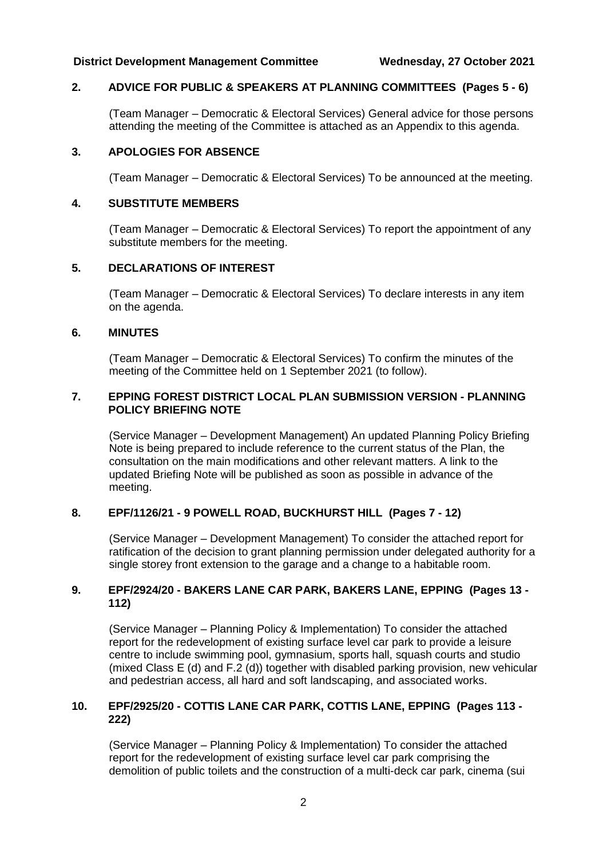# **District Development Management Committee Wednesday, 27 October 2021**

# **2. ADVICE FOR PUBLIC & SPEAKERS AT PLANNING COMMITTEES (Pages 5 - 6)**

(Team Manager – Democratic & Electoral Services) General advice for those persons attending the meeting of the Committee is attached as an Appendix to this agenda.

#### **3. APOLOGIES FOR ABSENCE**

(Team Manager – Democratic & Electoral Services) To be announced at the meeting.

#### **4. SUBSTITUTE MEMBERS**

(Team Manager – Democratic & Electoral Services) To report the appointment of any substitute members for the meeting.

## **5. DECLARATIONS OF INTEREST**

(Team Manager – Democratic & Electoral Services) To declare interests in any item on the agenda.

### **6. MINUTES**

(Team Manager – Democratic & Electoral Services) To confirm the minutes of the meeting of the Committee held on 1 September 2021 (to follow).

#### **7. EPPING FOREST DISTRICT LOCAL PLAN SUBMISSION VERSION - PLANNING POLICY BRIEFING NOTE**

(Service Manager – Development Management) An updated Planning Policy Briefing Note is being prepared to include reference to the current status of the Plan, the consultation on the main modifications and other relevant matters. A link to the updated Briefing Note will be published as soon as possible in advance of the meeting.

# **8. EPF/1126/21 - 9 POWELL ROAD, BUCKHURST HILL (Pages 7 - 12)**

(Service Manager – Development Management) To consider the attached report for ratification of the decision to grant planning permission under delegated authority for a single storey front extension to the garage and a change to a habitable room.

### **9. EPF/2924/20 - BAKERS LANE CAR PARK, BAKERS LANE, EPPING (Pages 13 - 112)**

(Service Manager – Planning Policy & Implementation) To consider the attached report for the redevelopment of existing surface level car park to provide a leisure centre to include swimming pool, gymnasium, sports hall, squash courts and studio (mixed Class E (d) and F.2 (d)) together with disabled parking provision, new vehicular and pedestrian access, all hard and soft landscaping, and associated works.

# **10. EPF/2925/20 - COTTIS LANE CAR PARK, COTTIS LANE, EPPING (Pages 113 - 222)**

(Service Manager – Planning Policy & Implementation) To consider the attached report for the redevelopment of existing surface level car park comprising the demolition of public toilets and the construction of a multi-deck car park, cinema (sui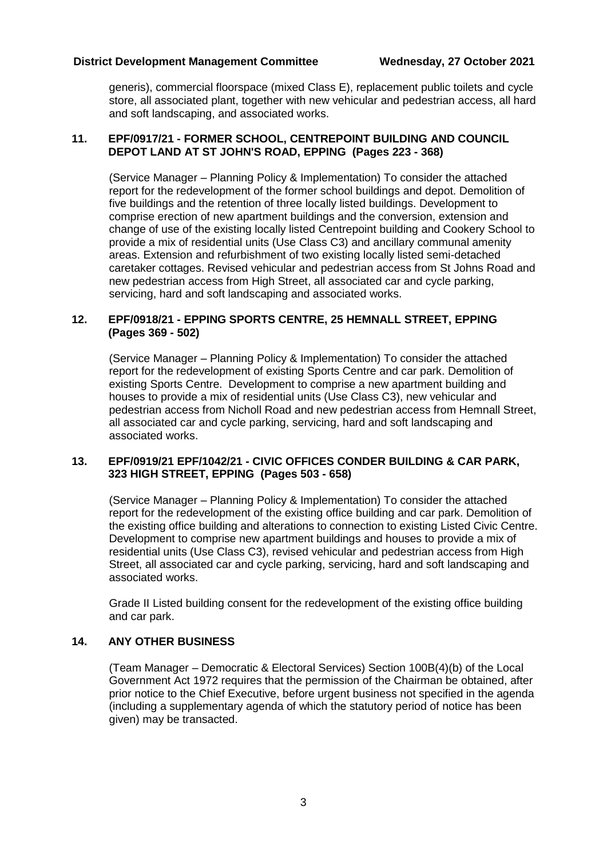# **District Development Management Committee Wednesday, 27 October 2021**

generis), commercial floorspace (mixed Class E), replacement public toilets and cycle store, all associated plant, together with new vehicular and pedestrian access, all hard and soft landscaping, and associated works.

# **11. EPF/0917/21 - FORMER SCHOOL, CENTREPOINT BUILDING AND COUNCIL DEPOT LAND AT ST JOHN'S ROAD, EPPING (Pages 223 - 368)**

(Service Manager – Planning Policy & Implementation) To consider the attached report for the redevelopment of the former school buildings and depot. Demolition of five buildings and the retention of three locally listed buildings. Development to comprise erection of new apartment buildings and the conversion, extension and change of use of the existing locally listed Centrepoint building and Cookery School to provide a mix of residential units (Use Class C3) and ancillary communal amenity areas. Extension and refurbishment of two existing locally listed semi-detached caretaker cottages. Revised vehicular and pedestrian access from St Johns Road and new pedestrian access from High Street, all associated car and cycle parking, servicing, hard and soft landscaping and associated works.

# **12. EPF/0918/21 - EPPING SPORTS CENTRE, 25 HEMNALL STREET, EPPING (Pages 369 - 502)**

(Service Manager – Planning Policy & Implementation) To consider the attached report for the redevelopment of existing Sports Centre and car park. Demolition of existing Sports Centre. Development to comprise a new apartment building and houses to provide a mix of residential units (Use Class C3), new vehicular and pedestrian access from Nicholl Road and new pedestrian access from Hemnall Street, all associated car and cycle parking, servicing, hard and soft landscaping and associated works.

### **13. EPF/0919/21 EPF/1042/21 - CIVIC OFFICES CONDER BUILDING & CAR PARK, 323 HIGH STREET, EPPING (Pages 503 - 658)**

(Service Manager – Planning Policy & Implementation) To consider the attached report for the redevelopment of the existing office building and car park. Demolition of the existing office building and alterations to connection to existing Listed Civic Centre. Development to comprise new apartment buildings and houses to provide a mix of residential units (Use Class C3), revised vehicular and pedestrian access from High Street, all associated car and cycle parking, servicing, hard and soft landscaping and associated works.

Grade II Listed building consent for the redevelopment of the existing office building and car park.

# **14. ANY OTHER BUSINESS**

(Team Manager – Democratic & Electoral Services) Section 100B(4)(b) of the Local Government Act 1972 requires that the permission of the Chairman be obtained, after prior notice to the Chief Executive, before urgent business not specified in the agenda (including a supplementary agenda of which the statutory period of notice has been given) may be transacted.